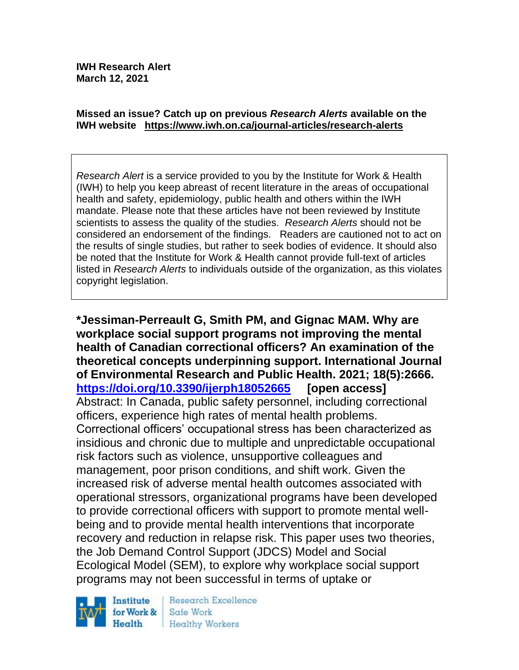#### **Missed an issue? Catch up on previous** *Research Alerts* **available on the [IWH website](http://www.iwh.on.ca/research-alerts) <https://www.iwh.on.ca/journal-articles/research-alerts>**

*Research Alert* is a service provided to you by the Institute for Work & Health (IWH) to help you keep abreast of recent literature in the areas of occupational health and safety, epidemiology, public health and others within the IWH mandate. Please note that these articles have not been reviewed by Institute scientists to assess the quality of the studies. *Research Alerts* should not be considered an endorsement of the findings. Readers are cautioned not to act on the results of single studies, but rather to seek bodies of evidence. It should also be noted that the Institute for Work & Health cannot provide full-text of articles listed in *Research Alerts* to individuals outside of the organization, as this violates copyright legislation.

**\*Jessiman-Perreault G, Smith PM, and Gignac MAM. Why are workplace social support programs not improving the mental health of Canadian correctional officers? An examination of the theoretical concepts underpinning support. International Journal of Environmental Research and Public Health. 2021; 18(5):2666. <https://doi.org/10.3390/ijerph18052665> [open access]** Abstract: In Canada, public safety personnel, including correctional officers, experience high rates of mental health problems. Correctional officers' occupational stress has been characterized as insidious and chronic due to multiple and unpredictable occupational risk factors such as violence, unsupportive colleagues and management, poor prison conditions, and shift work. Given the increased risk of adverse mental health outcomes associated with operational stressors, organizational programs have been developed to provide correctional officers with support to promote mental wellbeing and to provide mental health interventions that incorporate recovery and reduction in relapse risk. This paper uses two theories, the Job Demand Control Support (JDCS) Model and Social Ecological Model (SEM), to explore why workplace social support programs may not been successful in terms of uptake or



Research Excellence Safe Work Healthy Workers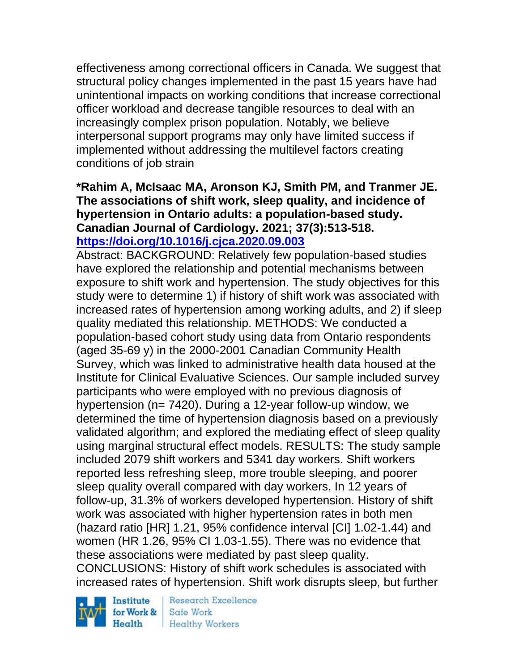effectiveness among correctional officers in Canada. We suggest that structural policy changes implemented in the past 15 years have had unintentional impacts on working conditions that increase correctional officer workload and decrease tangible resources to deal with an increasingly complex prison population. Notably, we believe interpersonal support programs may only have limited success if implemented without addressing the multilevel factors creating conditions of job strain

### **\*Rahim A, McIsaac MA, Aronson KJ, Smith PM, and Tranmer JE. The associations of shift work, sleep quality, and incidence of hypertension in Ontario adults: a population-based study. Canadian Journal of Cardiology. 2021; 37(3):513-518. <https://doi.org/10.1016/j.cjca.2020.09.003>**

Abstract: BACKGROUND: Relatively few population-based studies have explored the relationship and potential mechanisms between exposure to shift work and hypertension. The study objectives for this study were to determine 1) if history of shift work was associated with increased rates of hypertension among working adults, and 2) if sleep quality mediated this relationship. METHODS: We conducted a population-based cohort study using data from Ontario respondents (aged 35-69 y) in the 2000-2001 Canadian Community Health Survey, which was linked to administrative health data housed at the Institute for Clinical Evaluative Sciences. Our sample included survey participants who were employed with no previous diagnosis of hypertension (n= 7420). During a 12-year follow-up window, we determined the time of hypertension diagnosis based on a previously validated algorithm; and explored the mediating effect of sleep quality using marginal structural effect models. RESULTS: The study sample included 2079 shift workers and 5341 day workers. Shift workers reported less refreshing sleep, more trouble sleeping, and poorer sleep quality overall compared with day workers. In 12 years of follow-up, 31.3% of workers developed hypertension. History of shift work was associated with higher hypertension rates in both men (hazard ratio [HR] 1.21, 95% confidence interval [CI] 1.02-1.44) and women (HR 1.26, 95% CI 1.03-1.55). There was no evidence that these associations were mediated by past sleep quality. CONCLUSIONS: History of shift work schedules is associated with increased rates of hypertension. Shift work disrupts sleep, but further

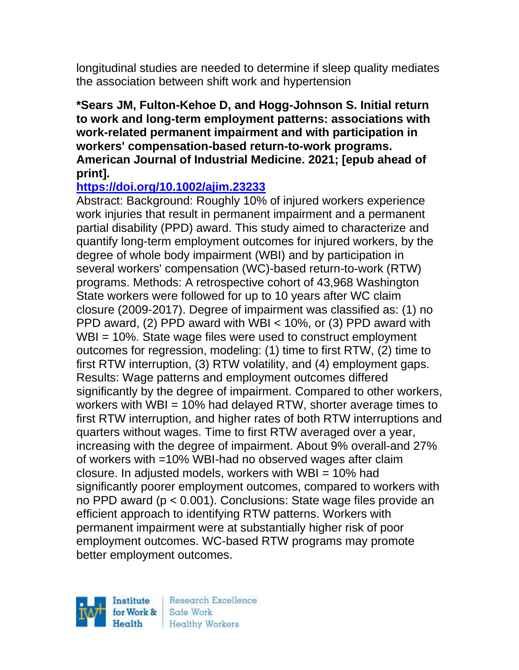longitudinal studies are needed to determine if sleep quality mediates the association between shift work and hypertension

### **\*Sears JM, Fulton-Kehoe D, and Hogg-Johnson S. Initial return to work and long-term employment patterns: associations with work-related permanent impairment and with participation in workers' compensation-based return-to-work programs. American Journal of Industrial Medicine. 2021; [epub ahead of print].**

## **<https://doi.org/10.1002/ajim.23233>**

Abstract: Background: Roughly 10% of injured workers experience work injuries that result in permanent impairment and a permanent partial disability (PPD) award. This study aimed to characterize and quantify long-term employment outcomes for injured workers, by the degree of whole body impairment (WBI) and by participation in several workers' compensation (WC)-based return-to-work (RTW) programs. Methods: A retrospective cohort of 43,968 Washington State workers were followed for up to 10 years after WC claim closure (2009-2017). Degree of impairment was classified as: (1) no PPD award, (2) PPD award with WBI < 10%, or (3) PPD award with WBI = 10%. State wage files were used to construct employment outcomes for regression, modeling: (1) time to first RTW, (2) time to first RTW interruption, (3) RTW volatility, and (4) employment gaps. Results: Wage patterns and employment outcomes differed significantly by the degree of impairment. Compared to other workers, workers with WBI = 10% had delayed RTW, shorter average times to first RTW interruption, and higher rates of both RTW interruptions and quarters without wages. Time to first RTW averaged over a year, increasing with the degree of impairment. About 9% overall-and 27% of workers with =10% WBI-had no observed wages after claim closure. In adjusted models, workers with  $WBI = 10\%$  had significantly poorer employment outcomes, compared to workers with no PPD award (p < 0.001). Conclusions: State wage files provide an efficient approach to identifying RTW patterns. Workers with permanent impairment were at substantially higher risk of poor employment outcomes. WC-based RTW programs may promote better employment outcomes.

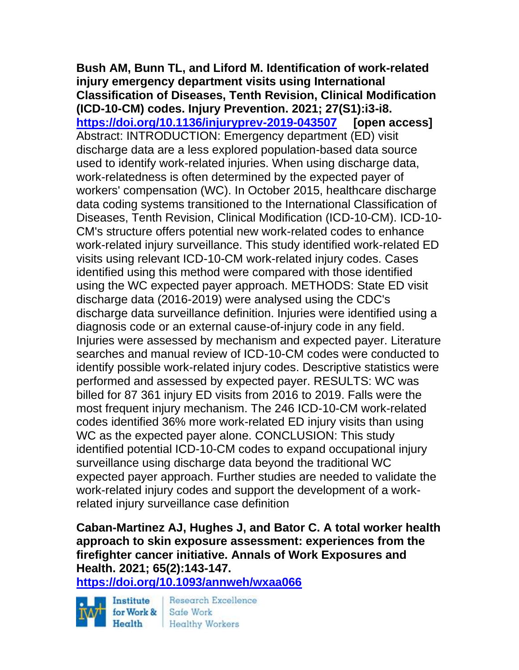**Bush AM, Bunn TL, and Liford M. Identification of work-related injury emergency department visits using International Classification of Diseases, Tenth Revision, Clinical Modification (ICD-10-CM) codes. Injury Prevention. 2021; 27(S1):i3-i8. <https://doi.org/10.1136/injuryprev-2019-043507> [open access]** Abstract: INTRODUCTION: Emergency department (ED) visit discharge data are a less explored population-based data source used to identify work-related injuries. When using discharge data, work-relatedness is often determined by the expected payer of workers' compensation (WC). In October 2015, healthcare discharge data coding systems transitioned to the International Classification of Diseases, Tenth Revision, Clinical Modification (ICD-10-CM). ICD-10- CM's structure offers potential new work-related codes to enhance work-related injury surveillance. This study identified work-related ED visits using relevant ICD-10-CM work-related injury codes. Cases identified using this method were compared with those identified using the WC expected payer approach. METHODS: State ED visit discharge data (2016-2019) were analysed using the CDC's discharge data surveillance definition. Injuries were identified using a diagnosis code or an external cause-of-injury code in any field. Injuries were assessed by mechanism and expected payer. Literature searches and manual review of ICD-10-CM codes were conducted to identify possible work-related injury codes. Descriptive statistics were performed and assessed by expected payer. RESULTS: WC was billed for 87 361 injury ED visits from 2016 to 2019. Falls were the most frequent injury mechanism. The 246 ICD-10-CM work-related codes identified 36% more work-related ED injury visits than using WC as the expected payer alone. CONCLUSION: This study identified potential ICD-10-CM codes to expand occupational injury surveillance using discharge data beyond the traditional WC expected payer approach. Further studies are needed to validate the work-related injury codes and support the development of a workrelated injury surveillance case definition

**Caban-Martinez AJ, Hughes J, and Bator C. A total worker health approach to skin exposure assessment: experiences from the firefighter cancer initiative. Annals of Work Exposures and Health. 2021; 65(2):143-147.** 

**<https://doi.org/10.1093/annweh/wxaa066>**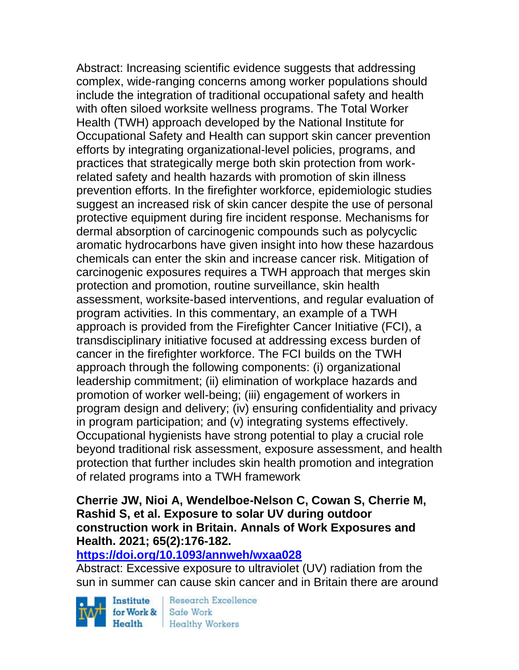Abstract: Increasing scientific evidence suggests that addressing complex, wide-ranging concerns among worker populations should include the integration of traditional occupational safety and health with often siloed worksite wellness programs. The Total Worker Health (TWH) approach developed by the National Institute for Occupational Safety and Health can support skin cancer prevention efforts by integrating organizational-level policies, programs, and practices that strategically merge both skin protection from workrelated safety and health hazards with promotion of skin illness prevention efforts. In the firefighter workforce, epidemiologic studies suggest an increased risk of skin cancer despite the use of personal protective equipment during fire incident response. Mechanisms for dermal absorption of carcinogenic compounds such as polycyclic aromatic hydrocarbons have given insight into how these hazardous chemicals can enter the skin and increase cancer risk. Mitigation of carcinogenic exposures requires a TWH approach that merges skin protection and promotion, routine surveillance, skin health assessment, worksite-based interventions, and regular evaluation of program activities. In this commentary, an example of a TWH approach is provided from the Firefighter Cancer Initiative (FCI), a transdisciplinary initiative focused at addressing excess burden of cancer in the firefighter workforce. The FCI builds on the TWH approach through the following components: (i) organizational leadership commitment; (ii) elimination of workplace hazards and promotion of worker well-being; (iii) engagement of workers in program design and delivery; (iv) ensuring confidentiality and privacy in program participation; and (v) integrating systems effectively. Occupational hygienists have strong potential to play a crucial role beyond traditional risk assessment, exposure assessment, and health protection that further includes skin health promotion and integration of related programs into a TWH framework

### **Cherrie JW, Nioi A, Wendelboe-Nelson C, Cowan S, Cherrie M, Rashid S, et al. Exposure to solar UV during outdoor construction work in Britain. Annals of Work Exposures and Health. 2021; 65(2):176-182.**

#### **<https://doi.org/10.1093/annweh/wxaa028>**

Abstract: Excessive exposure to ultraviolet (UV) radiation from the sun in summer can cause skin cancer and in Britain there are around

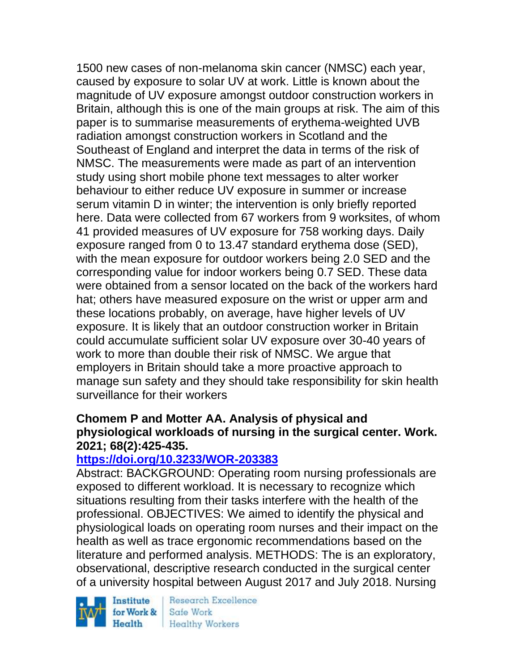1500 new cases of non-melanoma skin cancer (NMSC) each year, caused by exposure to solar UV at work. Little is known about the magnitude of UV exposure amongst outdoor construction workers in Britain, although this is one of the main groups at risk. The aim of this paper is to summarise measurements of erythema-weighted UVB radiation amongst construction workers in Scotland and the Southeast of England and interpret the data in terms of the risk of NMSC. The measurements were made as part of an intervention study using short mobile phone text messages to alter worker behaviour to either reduce UV exposure in summer or increase serum vitamin D in winter; the intervention is only briefly reported here. Data were collected from 67 workers from 9 worksites, of whom 41 provided measures of UV exposure for 758 working days. Daily exposure ranged from 0 to 13.47 standard erythema dose (SED), with the mean exposure for outdoor workers being 2.0 SED and the corresponding value for indoor workers being 0.7 SED. These data were obtained from a sensor located on the back of the workers hard hat; others have measured exposure on the wrist or upper arm and these locations probably, on average, have higher levels of UV exposure. It is likely that an outdoor construction worker in Britain could accumulate sufficient solar UV exposure over 30-40 years of work to more than double their risk of NMSC. We argue that employers in Britain should take a more proactive approach to manage sun safety and they should take responsibility for skin health surveillance for their workers

### **Chomem P and Motter AA. Analysis of physical and physiological workloads of nursing in the surgical center. Work. 2021; 68(2):425-435.**

### **<https://doi.org/10.3233/WOR-203383>**

Abstract: BACKGROUND: Operating room nursing professionals are exposed to different workload. It is necessary to recognize which situations resulting from their tasks interfere with the health of the professional. OBJECTIVES: We aimed to identify the physical and physiological loads on operating room nurses and their impact on the health as well as trace ergonomic recommendations based on the literature and performed analysis. METHODS: The is an exploratory, observational, descriptive research conducted in the surgical center of a university hospital between August 2017 and July 2018. Nursing

Institute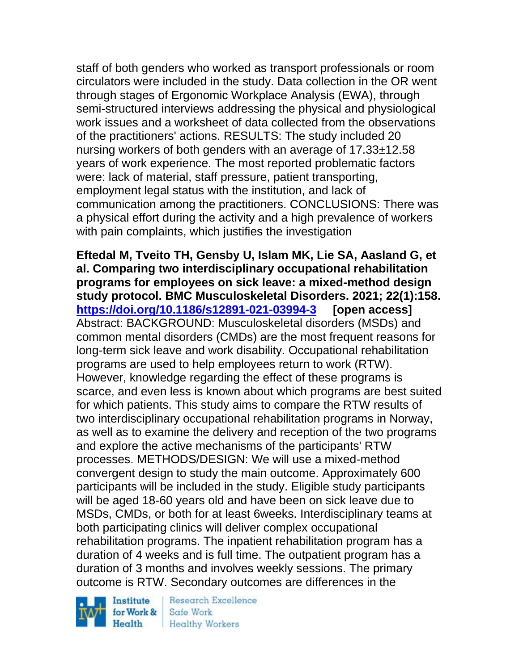staff of both genders who worked as transport professionals or room circulators were included in the study. Data collection in the OR went through stages of Ergonomic Workplace Analysis (EWA), through semi-structured interviews addressing the physical and physiological work issues and a worksheet of data collected from the observations of the practitioners' actions. RESULTS: The study included 20 nursing workers of both genders with an average of 17.33±12.58 years of work experience. The most reported problematic factors were: lack of material, staff pressure, patient transporting, employment legal status with the institution, and lack of communication among the practitioners. CONCLUSIONS: There was a physical effort during the activity and a high prevalence of workers with pain complaints, which justifies the investigation

**Eftedal M, Tveito TH, Gensby U, Islam MK, Lie SA, Aasland G, et al. Comparing two interdisciplinary occupational rehabilitation programs for employees on sick leave: a mixed-method design study protocol. BMC Musculoskeletal Disorders. 2021; 22(1):158. <https://doi.org/10.1186/s12891-021-03994-3> [open access]** Abstract: BACKGROUND: Musculoskeletal disorders (MSDs) and common mental disorders (CMDs) are the most frequent reasons for long-term sick leave and work disability. Occupational rehabilitation programs are used to help employees return to work (RTW). However, knowledge regarding the effect of these programs is scarce, and even less is known about which programs are best suited for which patients. This study aims to compare the RTW results of two interdisciplinary occupational rehabilitation programs in Norway, as well as to examine the delivery and reception of the two programs and explore the active mechanisms of the participants' RTW processes. METHODS/DESIGN: We will use a mixed-method convergent design to study the main outcome. Approximately 600 participants will be included in the study. Eligible study participants will be aged 18-60 years old and have been on sick leave due to MSDs, CMDs, or both for at least 6weeks. Interdisciplinary teams at both participating clinics will deliver complex occupational rehabilitation programs. The inpatient rehabilitation program has a duration of 4 weeks and is full time. The outpatient program has a duration of 3 months and involves weekly sessions. The primary outcome is RTW. Secondary outcomes are differences in the

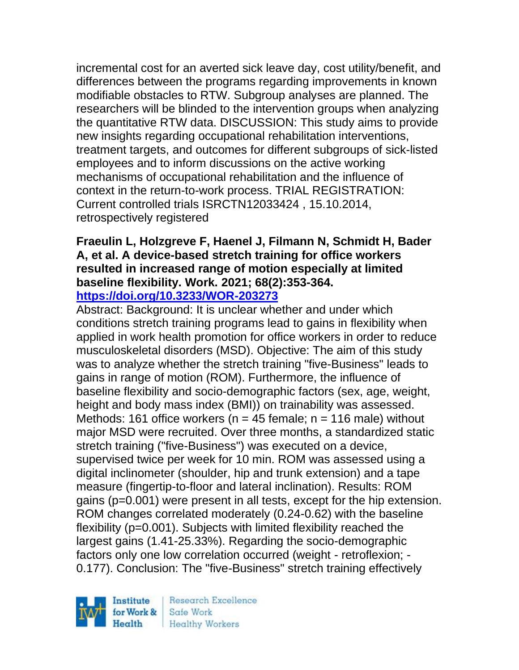incremental cost for an averted sick leave day, cost utility/benefit, and differences between the programs regarding improvements in known modifiable obstacles to RTW. Subgroup analyses are planned. The researchers will be blinded to the intervention groups when analyzing the quantitative RTW data. DISCUSSION: This study aims to provide new insights regarding occupational rehabilitation interventions, treatment targets, and outcomes for different subgroups of sick-listed employees and to inform discussions on the active working mechanisms of occupational rehabilitation and the influence of context in the return-to-work process. TRIAL REGISTRATION: Current controlled trials ISRCTN12033424 , 15.10.2014, retrospectively registered

#### **Fraeulin L, Holzgreve F, Haenel J, Filmann N, Schmidt H, Bader A, et al. A device-based stretch training for office workers resulted in increased range of motion especially at limited baseline flexibility. Work. 2021; 68(2):353-364. <https://doi.org/10.3233/WOR-203273>**

Abstract: Background: It is unclear whether and under which conditions stretch training programs lead to gains in flexibility when applied in work health promotion for office workers in order to reduce musculoskeletal disorders (MSD). Objective: The aim of this study was to analyze whether the stretch training "five-Business" leads to gains in range of motion (ROM). Furthermore, the influence of baseline flexibility and socio-demographic factors (sex, age, weight, height and body mass index (BMI)) on trainability was assessed. Methods: 161 office workers ( $n = 45$  female;  $n = 116$  male) without major MSD were recruited. Over three months, a standardized static stretch training ("five-Business") was executed on a device, supervised twice per week for 10 min. ROM was assessed using a digital inclinometer (shoulder, hip and trunk extension) and a tape measure (fingertip-to-floor and lateral inclination). Results: ROM gains (p=0.001) were present in all tests, except for the hip extension. ROM changes correlated moderately (0.24-0.62) with the baseline flexibility (p=0.001). Subjects with limited flexibility reached the largest gains (1.41-25.33%). Regarding the socio-demographic factors only one low correlation occurred (weight - retroflexion; - 0.177). Conclusion: The "five-Business" stretch training effectively

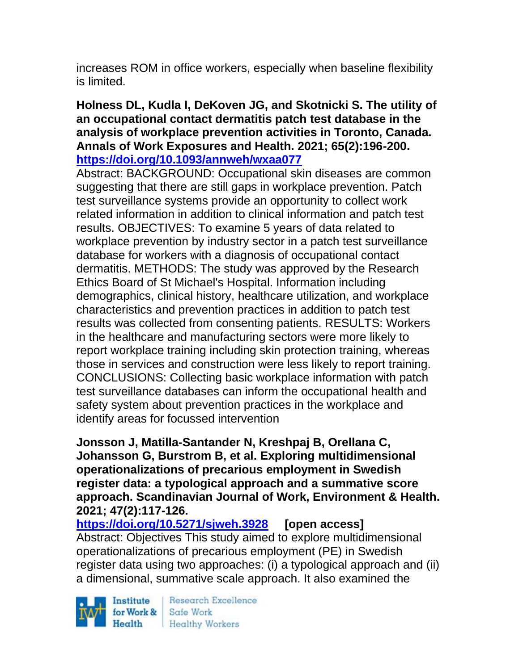increases ROM in office workers, especially when baseline flexibility is limited.

### **Holness DL, Kudla I, DeKoven JG, and Skotnicki S. The utility of an occupational contact dermatitis patch test database in the analysis of workplace prevention activities in Toronto, Canada. Annals of Work Exposures and Health. 2021; 65(2):196-200. <https://doi.org/10.1093/annweh/wxaa077>**

Abstract: BACKGROUND: Occupational skin diseases are common suggesting that there are still gaps in workplace prevention. Patch test surveillance systems provide an opportunity to collect work related information in addition to clinical information and patch test results. OBJECTIVES: To examine 5 years of data related to workplace prevention by industry sector in a patch test surveillance database for workers with a diagnosis of occupational contact dermatitis. METHODS: The study was approved by the Research Ethics Board of St Michael's Hospital. Information including demographics, clinical history, healthcare utilization, and workplace characteristics and prevention practices in addition to patch test results was collected from consenting patients. RESULTS: Workers in the healthcare and manufacturing sectors were more likely to report workplace training including skin protection training, whereas those in services and construction were less likely to report training. CONCLUSIONS: Collecting basic workplace information with patch test surveillance databases can inform the occupational health and safety system about prevention practices in the workplace and identify areas for focussed intervention

**Jonsson J, Matilla-Santander N, Kreshpaj B, Orellana C, Johansson G, Burstrom B, et al. Exploring multidimensional operationalizations of precarious employment in Swedish register data: a typological approach and a summative score approach. Scandinavian Journal of Work, Environment & Health. 2021; 47(2):117-126.** 

**<https://doi.org/10.5271/sjweh.3928> [open access]** Abstract: Objectives This study aimed to explore multidimensional operationalizations of precarious employment (PE) in Swedish register data using two approaches: (i) a typological approach and (ii) a dimensional, summative scale approach. It also examined the

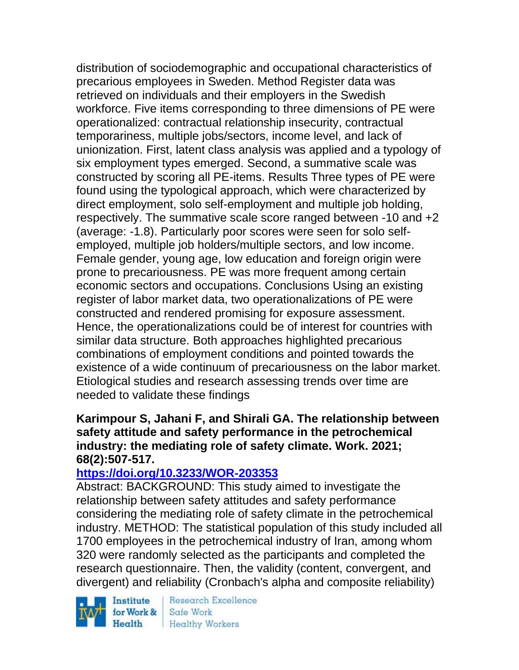distribution of sociodemographic and occupational characteristics of precarious employees in Sweden. Method Register data was retrieved on individuals and their employers in the Swedish workforce. Five items corresponding to three dimensions of PE were operationalized: contractual relationship insecurity, contractual temporariness, multiple jobs/sectors, income level, and lack of unionization. First, latent class analysis was applied and a typology of six employment types emerged. Second, a summative scale was constructed by scoring all PE-items. Results Three types of PE were found using the typological approach, which were characterized by direct employment, solo self-employment and multiple job holding, respectively. The summative scale score ranged between -10 and +2 (average: -1.8). Particularly poor scores were seen for solo selfemployed, multiple job holders/multiple sectors, and low income. Female gender, young age, low education and foreign origin were prone to precariousness. PE was more frequent among certain economic sectors and occupations. Conclusions Using an existing register of labor market data, two operationalizations of PE were constructed and rendered promising for exposure assessment. Hence, the operationalizations could be of interest for countries with similar data structure. Both approaches highlighted precarious combinations of employment conditions and pointed towards the existence of a wide continuum of precariousness on the labor market. Etiological studies and research assessing trends over time are needed to validate these findings

### **Karimpour S, Jahani F, and Shirali GA. The relationship between safety attitude and safety performance in the petrochemical industry: the mediating role of safety climate. Work. 2021; 68(2):507-517.**

### **<https://doi.org/10.3233/WOR-203353>**

Abstract: BACKGROUND: This study aimed to investigate the relationship between safety attitudes and safety performance considering the mediating role of safety climate in the petrochemical industry. METHOD: The statistical population of this study included all 1700 employees in the petrochemical industry of Iran, among whom 320 were randomly selected as the participants and completed the research questionnaire. Then, the validity (content, convergent, and divergent) and reliability (Cronbach's alpha and composite reliability)

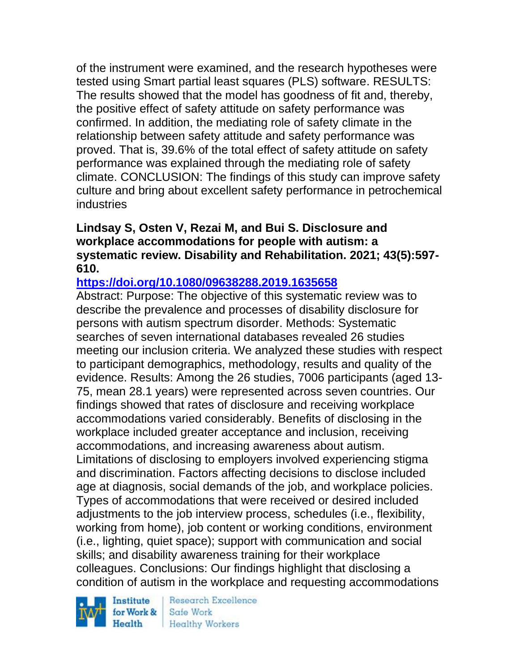of the instrument were examined, and the research hypotheses were tested using Smart partial least squares (PLS) software. RESULTS: The results showed that the model has goodness of fit and, thereby, the positive effect of safety attitude on safety performance was confirmed. In addition, the mediating role of safety climate in the relationship between safety attitude and safety performance was proved. That is, 39.6% of the total effect of safety attitude on safety performance was explained through the mediating role of safety climate. CONCLUSION: The findings of this study can improve safety culture and bring about excellent safety performance in petrochemical industries

## **Lindsay S, Osten V, Rezai M, and Bui S. Disclosure and workplace accommodations for people with autism: a systematic review. Disability and Rehabilitation. 2021; 43(5):597- 610.**

## **<https://doi.org/10.1080/09638288.2019.1635658>**

Abstract: Purpose: The objective of this systematic review was to describe the prevalence and processes of disability disclosure for persons with autism spectrum disorder. Methods: Systematic searches of seven international databases revealed 26 studies meeting our inclusion criteria. We analyzed these studies with respect to participant demographics, methodology, results and quality of the evidence. Results: Among the 26 studies, 7006 participants (aged 13- 75, mean 28.1 years) were represented across seven countries. Our findings showed that rates of disclosure and receiving workplace accommodations varied considerably. Benefits of disclosing in the workplace included greater acceptance and inclusion, receiving accommodations, and increasing awareness about autism. Limitations of disclosing to employers involved experiencing stigma and discrimination. Factors affecting decisions to disclose included age at diagnosis, social demands of the job, and workplace policies. Types of accommodations that were received or desired included adjustments to the job interview process, schedules (i.e., flexibility, working from home), job content or working conditions, environment (i.e., lighting, quiet space); support with communication and social skills; and disability awareness training for their workplace colleagues. Conclusions: Our findings highlight that disclosing a condition of autism in the workplace and requesting accommodations

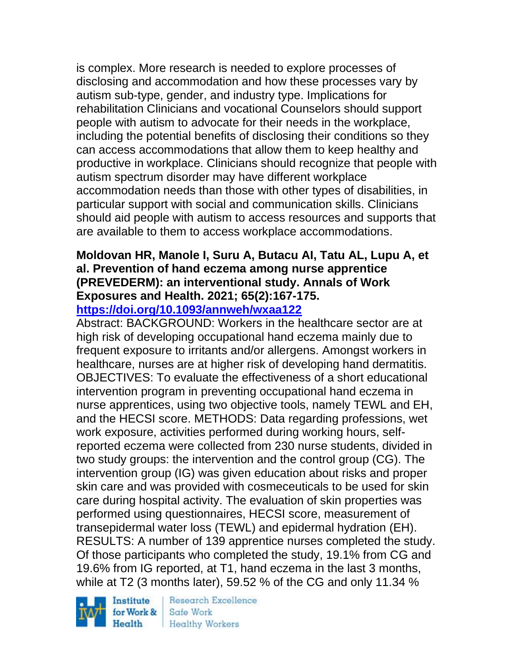is complex. More research is needed to explore processes of disclosing and accommodation and how these processes vary by autism sub-type, gender, and industry type. Implications for rehabilitation Clinicians and vocational Counselors should support people with autism to advocate for their needs in the workplace, including the potential benefits of disclosing their conditions so they can access accommodations that allow them to keep healthy and productive in workplace. Clinicians should recognize that people with autism spectrum disorder may have different workplace accommodation needs than those with other types of disabilities, in particular support with social and communication skills. Clinicians should aid people with autism to access resources and supports that are available to them to access workplace accommodations.

# **Moldovan HR, Manole I, Suru A, Butacu AI, Tatu AL, Lupu A, et al. Prevention of hand eczema among nurse apprentice (PREVEDERM): an interventional study. Annals of Work Exposures and Health. 2021; 65(2):167-175.**

**<https://doi.org/10.1093/annweh/wxaa122>** 

Abstract: BACKGROUND: Workers in the healthcare sector are at high risk of developing occupational hand eczema mainly due to frequent exposure to irritants and/or allergens. Amongst workers in healthcare, nurses are at higher risk of developing hand dermatitis. OBJECTIVES: To evaluate the effectiveness of a short educational intervention program in preventing occupational hand eczema in nurse apprentices, using two objective tools, namely TEWL and EH, and the HECSI score. METHODS: Data regarding professions, wet work exposure, activities performed during working hours, selfreported eczema were collected from 230 nurse students, divided in two study groups: the intervention and the control group (CG). The intervention group (IG) was given education about risks and proper skin care and was provided with cosmeceuticals to be used for skin care during hospital activity. The evaluation of skin properties was performed using questionnaires, HECSI score, measurement of transepidermal water loss (TEWL) and epidermal hydration (EH). RESULTS: A number of 139 apprentice nurses completed the study. Of those participants who completed the study, 19.1% from CG and 19.6% from IG reported, at T1, hand eczema in the last 3 months, while at T2 (3 months later), 59.52 % of the CG and only 11.34 %



**Research Excellence** Safe Work **Healthy Workers**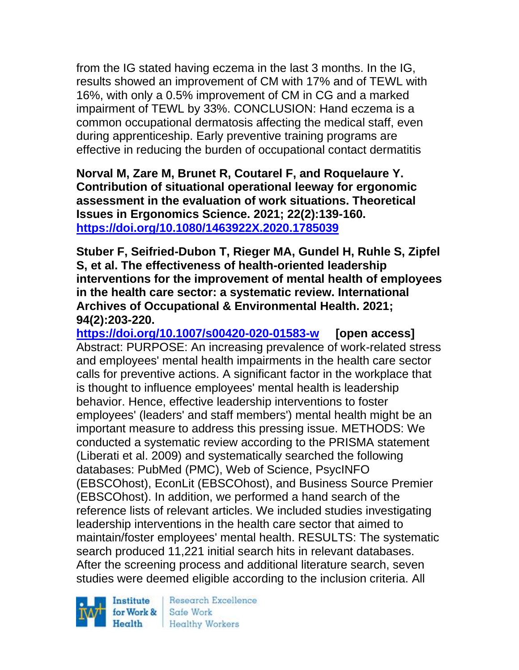from the IG stated having eczema in the last 3 months. In the IG, results showed an improvement of CM with 17% and of TEWL with 16%, with only a 0.5% improvement of CM in CG and a marked impairment of TEWL by 33%. CONCLUSION: Hand eczema is a common occupational dermatosis affecting the medical staff, even during apprenticeship. Early preventive training programs are effective in reducing the burden of occupational contact dermatitis

**Norval M, Zare M, Brunet R, Coutarel F, and Roquelaure Y. Contribution of situational operational leeway for ergonomic assessment in the evaluation of work situations. Theoretical Issues in Ergonomics Science. 2021; 22(2):139-160. <https://doi.org/10.1080/1463922X.2020.1785039>** 

**Stuber F, Seifried-Dubon T, Rieger MA, Gundel H, Ruhle S, Zipfel S, et al. The effectiveness of health-oriented leadership interventions for the improvement of mental health of employees in the health care sector: a systematic review. International Archives of Occupational & Environmental Health. 2021; 94(2):203-220.** 

**<https://doi.org/10.1007/s00420-020-01583-w> [open access]** Abstract: PURPOSE: An increasing prevalence of work-related stress and employees' mental health impairments in the health care sector calls for preventive actions. A significant factor in the workplace that is thought to influence employees' mental health is leadership behavior. Hence, effective leadership interventions to foster employees' (leaders' and staff members') mental health might be an important measure to address this pressing issue. METHODS: We conducted a systematic review according to the PRISMA statement (Liberati et al. 2009) and systematically searched the following databases: PubMed (PMC), Web of Science, PsycINFO (EBSCOhost), EconLit (EBSCOhost), and Business Source Premier (EBSCOhost). In addition, we performed a hand search of the reference lists of relevant articles. We included studies investigating leadership interventions in the health care sector that aimed to maintain/foster employees' mental health. RESULTS: The systematic search produced 11,221 initial search hits in relevant databases. After the screening process and additional literature search, seven studies were deemed eligible according to the inclusion criteria. All

Institute